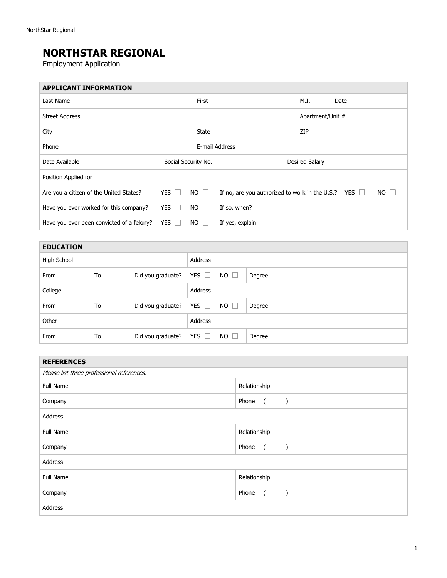## **NORTHSTAR REGIONAL**

Employment Application

| <b>APPLICANT INFORMATION</b>              |            |                                       |                                                           |      |                  |             |  |
|-------------------------------------------|------------|---------------------------------------|-----------------------------------------------------------|------|------------------|-------------|--|
| Last Name                                 |            |                                       |                                                           | M.I. | Date             |             |  |
| <b>Street Address</b>                     |            |                                       |                                                           |      | Apartment/Unit # |             |  |
| City                                      |            |                                       | <b>State</b>                                              |      | ZIP              |             |  |
| Phone                                     |            |                                       | E-mail Address                                            |      |                  |             |  |
| Date Available                            |            | Desired Salary<br>Social Security No. |                                                           |      |                  |             |  |
| Position Applied for                      |            |                                       |                                                           |      |                  |             |  |
| Are you a citizen of the United States?   | YES $\Box$ | $NO$ $\Box$                           | If no, are you authorized to work in the U.S.? YES $\Box$ |      |                  | $NO$ $\Box$ |  |
| Have you ever worked for this company?    | YES I      | $NO$ $\Box$                           | If so, when?                                              |      |                  |             |  |
| Have you ever been convicted of a felony? | YES $\Box$ | $NO \Box$                             | If yes, explain                                           |      |                  |             |  |

| <b>EDUCATION</b> |    |                   |            |             |        |
|------------------|----|-------------------|------------|-------------|--------|
| High School      |    |                   | Address    |             |        |
| From             | To | Did you graduate? | YES $\Box$ | $NO$ $\Box$ | Degree |
| College          |    |                   | Address    |             |        |
| From             | To | Did you graduate? | YES $\Box$ | $NO$ $\Box$ | Degree |
| Other            |    |                   | Address    |             |        |
| From             | To | Did you graduate? | YES $\Box$ | $NO$ $\Box$ | Degree |

| <b>REFERENCES</b>                          |                                                                          |  |  |  |
|--------------------------------------------|--------------------------------------------------------------------------|--|--|--|
| Please list three professional references. |                                                                          |  |  |  |
| Full Name                                  | Relationship                                                             |  |  |  |
| Company                                    | Phone<br>$\overline{a}$<br>$\left( \begin{array}{c} \end{array} \right)$ |  |  |  |
| Address                                    |                                                                          |  |  |  |
| Full Name                                  | Relationship                                                             |  |  |  |
| Company                                    | Phone<br>$\sqrt{2}$<br>$\lambda$                                         |  |  |  |
| Address                                    |                                                                          |  |  |  |
| <b>Full Name</b>                           | Relationship                                                             |  |  |  |
| Company                                    | Phone<br>$\sqrt{2}$<br>$\cdot$                                           |  |  |  |
| Address                                    |                                                                          |  |  |  |